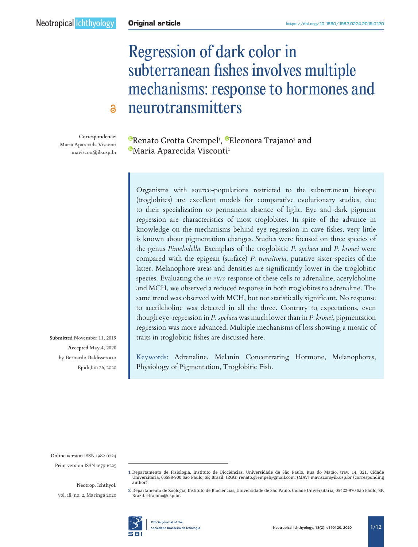# Regression of dark color in subterranean fishes involves multiple mechanisms: response to hormones and neurotransmitters

**Correspondence: Maria Aparecida Visconti [maviscon@ib.usp.br](mailto:maviscon%40ib.usp.br?subject=)**

 $\mathbf{a}$ 

[R](https://orcid.org/0000-0002-8268-3137)enato Grotta Grempel<sup>1</sup>, ®Eleonora Trajano<del>°</del> and <sup>®</sup>[M](https://orcid.org/0000-0001-8703-5238)aria Aparecida Visconti<sup>1</sup>

Organisms with source-populations restricted to the subterranean biotope (troglobites) are excellent models for comparative evolutionary studies, due to their specialization to permanent absence of light. Eye and dark pigment regression are characteristics of most troglobites. In spite of the advance in knowledge on the mechanisms behind eye regression in cave fishes, very little is known about pigmentation changes. Studies were focused on three species of the genus *Pimelodella.* Exemplars of the troglobitic *P. spelaea* and *P. kronei* were compared with the epigean (surface) *P. transitoria*, putative sister-species of the latter. Melanophore areas and densities are significantly lower in the troglobitic species. Evaluating the *in vitro* response of these cells to adrenaline, acetylcholine and MCH, we observed a reduced response in both troglobites to adrenaline. The same trend was observed with MCH, but not statistically significant. No response to acetilcholine was detected in all the three. Contrary to expectations, even though eye-regression in *P*. *spelaea* was much lower than in *P. kronei*, pigmentation regression was more advanced. Multiple mechanisms of loss showing a mosaic of traits in troglobitic fishes are discussed here.

Keywords: Adrenaline, Melanin Concentrating Hormone, Melanophores, Physiology of Pigmentation, Troglobitic Fish.

**Submitted November 11, 2019 Accepted May 4, 2020 by Bernardo Baldisserotto Epub** Jun 26, 2020

Online version ISSN 1982-0224

Print version ISSN 1679-6225

Neotrop. Ichthyol.

vol. 18, no. 2, Maringá 2020

**2** Departamento de Zoologia, Instituto de Biociências, Universidade de São Paulo, Cidade Universitária, 05422-970 São Paulo, SP, Brazil. [etrajano@usp.br.](mailto:etrajano%40usp.br?subject=)



**Official lournal of the** Sociedade Brasileira de Ictiologia

**<sup>1</sup>** Departamento de Fisiologia, Instituto de Biociências, Universidade de São Paulo, Rua do Matão, trav. 14, 321, Cidade Universitária, 05588-900 São Paulo, SP, Brazil. (RGG) [renato.grempel@gmail.com;](mailto:renato.grempel%40gmail.com?subject=) (MAV) [maviscon@ib.usp.br](mailto:maviscon%40ib.usp.br?subject=) (corresponding author).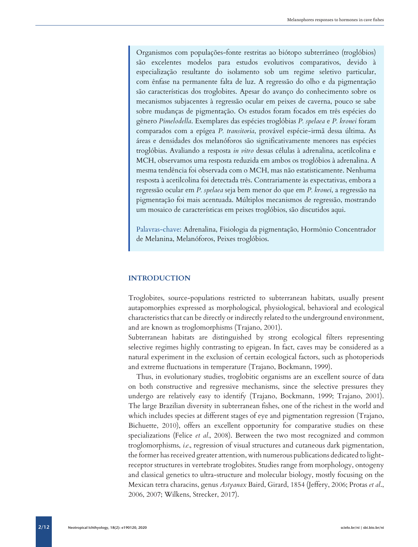Organismos com populações-fonte restritas ao biótopo subterrâneo (troglóbios) são excelentes modelos para estudos evolutivos comparativos, devido à especialização resultante do isolamento sob um regime seletivo particular, com ênfase na permanente falta de luz. A regressão do olho e da pigmentação são características dos troglobites. Apesar do avanço do conhecimento sobre os mecanismos subjacentes à regressão ocular em peixes de caverna, pouco se sabe sobre mudanças de pigmentação. Os estudos foram focados em três espécies do gênero *Pimelodella*. Exemplares das espécies troglóbias *P. spelaea* e *P. kronei* foram comparados com a epígea *P. transitoria*, provável espécie-irmã dessa última. As áreas e densidades dos melanóforos são significativamente menores nas espécies troglóbias. Avaliando a resposta *in vitro* dessas células à adrenalina, acetilcolina e MCH, observamos uma resposta reduzida em ambos os troglóbios à adrenalina. A mesma tendência foi observada com o MCH, mas não estatisticamente. Nenhuma resposta à acetilcolina foi detectada três. Contrariamente às expectativas, embora a regressão ocular em *P. spelaea* seja bem menor do que em *P. kronei*, a regressão na pigmentação foi mais acentuada. Múltiplos mecanismos de regressão, mostrando um mosaico de características em peixes troglóbios, são discutidos aqui.

Palavras-chave: Adrenalina, Fisiologia da pigmentação, Hormônio Concentrador de Melanina, Melanóforos, Peixes troglóbios.

# **INTRODUCTION**

Troglobites, source-populations restricted to subterranean habitats, usually present autapomorphies expressed as morphological, physiological, behavioral and ecological characteristics that can be directly or indirectly related to the underground environment, and are known as troglomorphisms (Trajano, 2001).

Subterranean habitats are distinguished by strong ecological filters representing selective regimes highly contrasting to epigean. In fact, caves may be considered as a natural experiment in the exclusion of certain ecological factors, such as photoperiods and extreme fluctuations in temperature (Trajano, Bockmann, 1999).

Thus, in evolutionary studies, troglobitic organisms are an excellent source of data on both constructive and regressive mechanisms, since the selective pressures they undergo are relatively easy to identify (Trajano, Bockmann, 1999; Trajano, 2001). The large Brazilian diversity in subterranean fishes, one of the richest in the world and which includes species at different stages of eye and pigmentation regression (Trajano, Bichuette, 2010), offers an excellent opportunity for comparative studies on these specializations (Felice *et al.*, 2008). Between the two most recognized and common troglomorphisms, *i.e.*, regression of visual structures and cutaneous dark pigmentation, the former has received greater attention, with numerous publications dedicated to lightreceptor structures in vertebrate troglobites. Studies range from morphology, ontogeny and classical genetics to ultra-structure and molecular biology, mostly focusing on the Mexican tetra characins, genus *Astyanax* Baird, Girard, 1854 (Jeffery, 2006; Protas *et al*., 2006, 2007; Wilkens, Strecker, 2017).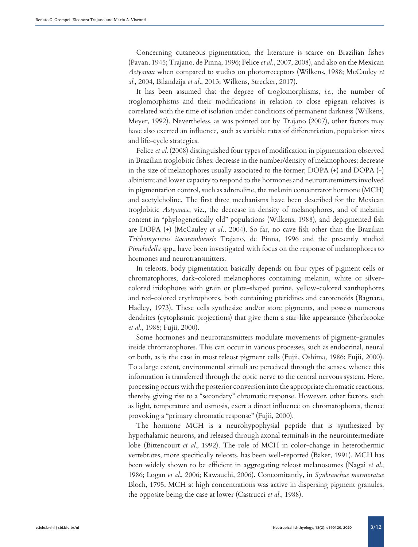Concerning cutaneous pigmentation, the literature is scarce on Brazilian fishes (Pavan, 1945; Trajano, de Pinna, 1996; Felice *et al*., 2007, 2008), and also on the Mexican *Astyanax* when compared to studies on photorreceptors (Wilkens, 1988; McCauley *et al.*, 2004, Bilandzija *et al*., 2013; Wilkens, Strecker, 2017).

It has been assumed that the degree of troglomorphisms, *i.e.*, the number of troglomorphisms and their modifications in relation to close epigean relatives is correlated with the time of isolation under conditions of permanent darkness (Wilkens, Meyer, 1992). Nevertheless, as was pointed out by Trajano (2007), other factors may have also exerted an influence, such as variable rates of differentiation, population sizes and life-cycle strategies.

Felice *et al.* (2008) distinguished four types of modification in pigmentation observed in Brazilian troglobitic fishes: decrease in the number/density of melanophores; decrease in the size of melanophores usually associated to the former; DOPA (+) and DOPA (-) albinism; and lower capacity to respond to the hormones and neurotransmitters involved in pigmentation control, such as adrenaline, the melanin concentrator hormone (MCH) and acetylcholine. The first three mechanisms have been described for the Mexican troglobitic *Astyanax*, viz., the decrease in density of melanophores, and of melanin content in "phylogenetically old" populations (Wilkens, 1988), and depigmented fish are DOPA (+) (McCauley *et al*., 2004). So far, no cave fish other than the Brazilian *Trichomycterus itacarambiensis* Trajano, de Pinna, 1996 and the presently studied *Pimelodella* spp., have been investigated with focus on the response of melanophores to hormones and neurotransmitters.

In teleosts, body pigmentation basically depends on four types of pigment cells or chromatophores, dark-colored melanophores containing melanin, white or silvercolored iridophores with grain or plate-shaped purine, yellow-colored xanthophores and red-colored erythrophores, both containing pteridines and carotenoids (Bagnara, Hadley, 1973). These cells synthesize and/or store pigments, and possess numerous dendrites (cytoplasmic projections) that give them a star-like appearance (Sherbrooke *et al*., 1988; Fujii, 2000).

Some hormones and neurotransmitters modulate movements of pigment-granules inside chromatophores. This can occur in various processes, such as endocrinal, neural or both, as is the case in most teleost pigment cells (Fujii, Oshima, 1986; Fujii, 2000). To a large extent, environmental stimuli are perceived through the senses, whence this information is transferred through the optic nerve to the central nervous system. Here, processing occurs with the posterior conversion into the appropriate chromatic reactions, thereby giving rise to a "secondary" chromatic response. However, other factors, such as light, temperature and osmosis, exert a direct influence on chromatophores, thence provoking a "primary chromatic response" (Fujii, 2000).

The hormone MCH is a neurohypophysial peptide that is synthesized by hypothalamic neurons, and released through axonal terminals in the neurointermediate lobe (Bittencourt *et al.*, 1992). The role of MCH in color-change in heterothermic vertebrates, more specifically teleosts, has been well-reported (Baker, 1991). MCH has been widely shown to be efficient in aggregating teleost melanosomes (Nagai *et al.*, 1986; Logan *et al.*, 2006; Kawauchi, 2006). Concomitantly, in *Synbranchus marmoratus* Bloch, 1795, MCH at high concentrations was active in dispersing pigment granules, the opposite being the case at lower (Castrucci *et al*., 1988).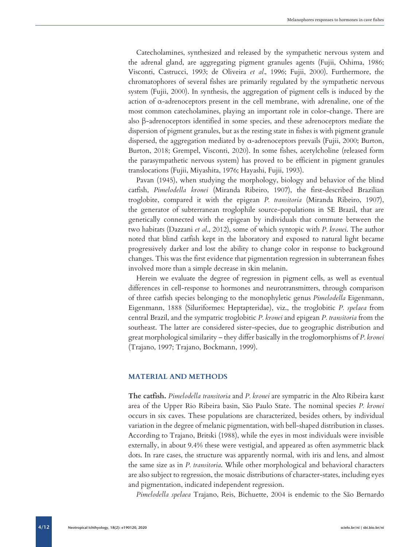Catecholamines, synthesized and released by the sympathetic nervous system and the adrenal gland, are aggregating pigment granules agents (Fujii, Oshima, 1986; Visconti, Castrucci, 1993; de Oliveira *et al.*, 1996; Fujii, 2000). Furthermore, the chromatophores of several fishes are primarily regulated by the sympathetic nervous system (Fujii, 2000). In synthesis, the aggregation of pigment cells is induced by the action of  $\alpha$ -adrenoceptors present in the cell membrane, with adrenaline, one of the most common catecholamines, playing an important role in color-change. There are also β-adrenoceptors identified in some species, and these adrenoceptors mediate the dispersion of pigment granules, but as the resting state in fishes is with pigment granule dispersed, the aggregation mediated by  $\alpha$ -adrenoceptors prevails (Fujii, 2000; Burton, Burton, 2018; Grempel, Visconti, 2020). In some fishes, acetylcholine (released form the parasympathetic nervous system) has proved to be efficient in pigment granules translocations (Fujii, Miyashita, 1976; Hayashi, Fujii, 1993).

Pavan (1945), when studying the morphology, biology and behavior of the blind catfish, *Pimelodella kronei* (Miranda Ribeiro, 1907), the first-described Brazilian troglobite, compared it with the epigean *P. transitoria* (Miranda Ribeiro, 1907), the generator of subterranean troglophile source-populations in SE Brazil, that are genetically connected with the epigean by individuals that commute between the two habitats (Dazzani *et al*., 2012), some of which syntopic with *P. kronei*. The author noted that blind catfish kept in the laboratory and exposed to natural light became progressively darker and lost the ability to change color in response to background changes. This was the first evidence that pigmentation regression in subterranean fishes involved more than a simple decrease in skin melanin.

Herein we evaluate the degree of regression in pigment cells, as well as eventual differences in cell-response to hormones and neurotransmitters, through comparison of three catfish species belonging to the monophyletic genus *Pimelodella* Eigenmann, Eigenmann, 1888 (Siluriformes: Heptapteridae), viz., the troglobitic *P. spelaea* from central Brazil, and the sympatric troglobitic *P. kronei* and epigean *P. transitoria* from the southeast. The latter are considered sister-species, due to geographic distribution and great morphological similarity – they differ basically in the troglomorphisms of *P. kronei* (Trajano, 1997; Trajano, Bockmann, 1999).

# **MATERIAL AND METHODS**

**The catfish.** *Pimelodella transitoria* and *P. kronei* are sympatric in the Alto Ribeira karst area of the Upper Rio Ribeira basin, São Paulo State. The nominal species *P. kronei* occurs in six caves. These populations are characterized, besides others, by individual variation in the degree of melanic pigmentation, with bell-shaped distribution in classes. According to Trajano, Britski (1988), while the eyes in most individuals were invisible externally, in about 9.4% these were vestigial, and appeared as often asymmetric black dots. In rare cases, the structure was apparently normal, with iris and lens, and almost the same size as in *P. transitoria*. While other morphological and behavioral characters are also subject to regression, the mosaic distributions of character-states, including eyes and pigmentation, indicated independent regression.

*Pimelodella spelaea* Trajano, Reis, Bichuette, 2004 is endemic to the São Bernardo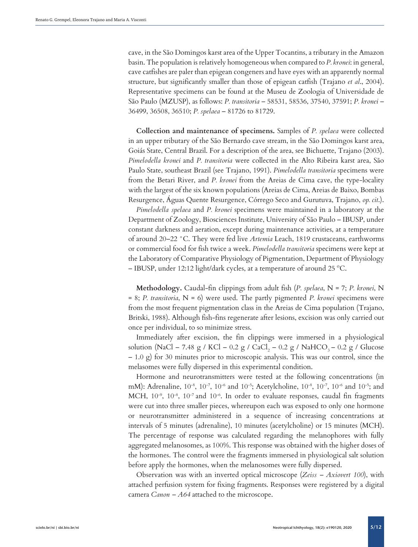cave, in the São Domingos karst area of the Upper Tocantins, a tributary in the Amazon basin. The population is relatively homogeneous when compared to *P. kronei*: in general, cave catfishes are paler than epigean congeners and have eyes with an apparently normal structure, but significantly smaller than those of epigean catfish (Trajano *et al*., 2004). Representative specimens can be found at the Museu de Zoologia of Universidade de São Paulo (MZUSP), as follows: *P. transitoria* – 58531, 58536, 37540, 37591; *P. kronei* – 36499, 36508, 36510; *P. spelaea* – 81726 to 81729.

**Collection and maintenance of specimens.** Samples of *P. spelaea* were collected in an upper tributary of the São Bernardo cave stream, in the São Domingos karst area, Goiás State, Central Brazil. For a description of the area, see Bichuette, Trajano (2003). *Pimelodella kronei* and *P. transitoria* were collected in the Alto Ribeira karst area, São Paulo State, southeast Brazil (see Trajano, 1991). *Pimelodella transitoria* specimens were from the Betari River, and *P. kronei* from the Areias de Cima cave, the type-locality with the largest of the six known populations (Areias de Cima, Areias de Baixo, Bombas Resurgence, Águas Quente Resurgence, Córrego Seco and Gurutuva, Trajano, *op. cit*.).

*Pimelodella spelaea* and *P. kronei* specimens were maintained in a laboratory at the Department of Zoology, Biosciences Institute, University of São Paulo – IBUSP, under constant darkness and aeration, except during maintenance activities, at a temperature of around 20–22 °C. They were fed live *Artemia* Leach, 1819 crustaceans, earthworms or commercial food for fish twice a week. *Pimelodella transitoria* specimens were kept at the Laboratory of Comparative Physiology of Pigmentation, Department of Physiology – IBUSP, under 12:12 light/dark cycles, at a temperature of around 25 ºC.

**Methodology.** Caudal-fin clippings from adult fish (*P. spelaea*, N = 7; *P. kronei*, N = 8; *P. transitoria*, N = 6) were used. The partly pigmented *P. kronei* specimens were from the most frequent pigmentation class in the Areias de Cima population (Trajano, Britski, 1988). Although fish-fins regenerate after lesions, excision was only carried out once per individual, to so minimize stress.

Immediately after excision, the fin clippings were immersed in a physiological solution (NaCl – 7.48 g / KCl – 0.2 g / CaCl<sub>2</sub> – 0.2 g / NaHCO<sub>3</sub> – 0.2 g / Glucose  $-1.0$  g) for 30 minutes prior to microscopic analysis. This was our control, since the melasomes were fully dispersed in this experimental condition.

Hormone and neurotransmitters were tested at the following concentrations (in mM): Adrenaline, 10-8, 10-7, 10-6 and 10-5; Acetylcholine, 10-8, 10-7, 10-6 and 10-5; and MCH, 10<sup>-9</sup>, 10<sup>-8</sup>, 10<sup>-7</sup> and 10<sup>-6</sup>. In order to evaluate responses, caudal fin fragments were cut into three smaller pieces, whereupon each was exposed to only one hormone or neurotransmitter administered in a sequence of increasing concentrations at intervals of 5 minutes (adrenaline), 10 minutes (acetylcholine) or 15 minutes (MCH). The percentage of response was calculated regarding the melanophores with fully aggregated melanosomes, as 100%. This response was obtained with the higher doses of the hormones. The control were the fragments immersed in physiological salt solution before apply the hormones, when the melanosomes were fully dispersed.

Observation was with an inverted optical microscope (*Zeiss – Axiovert 100*), with attached perfusion system for fixing fragments. Responses were registered by a digital camera *Canon – A64* attached to the microscope.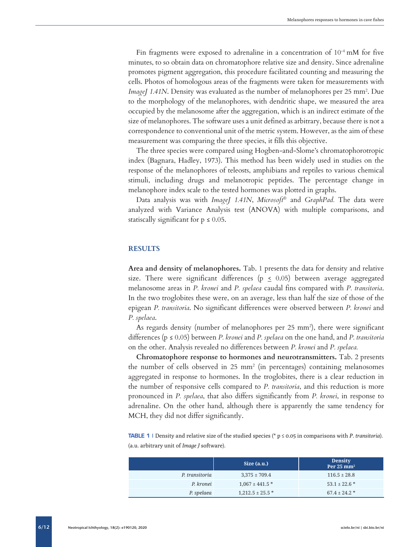Fin fragments were exposed to adrenaline in a concentration of  $10^{-4}$  mM for five minutes, to so obtain data on chromatophore relative size and density. Since adrenaline promotes pigment aggregation, this procedure facilitated counting and measuring the cells. Photos of homologous areas of the fragments were taken for measurements with *ImageJ 1.41N*. Density was evaluated as the number of melanophores per 25 mm2 . Due to the morphology of the melanophores, with dendritic shape, we measured the area occupied by the melanosome after the aggregation, which is an indirect estimate of the size of melanophores. The software uses a unit defined as arbitrary, because there is not a correspondence to conventional unit of the metric system. However, as the aim of these measurement was comparing the three species, it fills this objective.

The three species were compared using Hogben-and-Slome's chromatophorotropic index (Bagnara, Hadley, 1973). This method has been widely used in studies on the response of the melanophores of teleosts, amphibians and reptiles to various chemical stimuli, including drugs and melanotropic peptides. The percentage change in melanophore index scale to the tested hormones was plotted in graphs.

Data analysis was with *ImageJ 1.41N*, *Microsoft®* and *GraphPad.* The data were analyzed with Variance Analysis test (ANOVA) with multiple comparisons, and statiscally significant for  $p \leq 0.05$ .

#### **RESULTS**

**Area and density of melanophores.** Tab. 1 presents the data for density and relative size. There were significant differences ( $p \leq 0.05$ ) between average aggregated melanosome areas in *P. kronei* and *P. spelaea* caudal fins compared with *P. transitoria*. In the two troglobites these were, on an average, less than half the size of those of the epigean *P. transitoria*. No significant differences were observed between *P. kronei* and *P. spelaea*.

As regards density (number of melanophores per 25 mm2 ), there were significant differences (p ≤ 0.05) between *P. kronei* and *P. spelaea* on the one hand, and *P. transitoria* on the other. Analysis revealed no differences between *P. kronei* and *P. spelaea.*

**Chromatophore response to hormones and neurotransmitters.** Tab. 2 presents the number of cells observed in 25 mm2 (in percentages) containing melanosomes aggregated in response to hormones. In the troglobites, there is a clear reduction in the number of responsive cells compared to *P. transitoria*, and this reduction is more pronounced in *P. spelaea*, that also differs significantly from *P. kronei*, in response to adrenaline. On the other hand, although there is apparently the same tendency for MCH, they did not differ significantly.

TABLE 1 | Density and relative size of the studied species (\* p ≤ 0.05 in comparisons with *P. transitoria*). (a.u. arbitrary unit of *Image J* software).

|                | Size (a.u.)          | <b>Density</b><br>Per 25 mm <sup>2</sup> |
|----------------|----------------------|------------------------------------------|
| P. transitoria | $3,375 \pm 709.4$    | $116.5 \pm 28.8$                         |
| P. kronei      | $1,067 \pm 441.5$ *  | $53.1 \pm 22.6$ *                        |
| P. spelaea     | $1.212.5 \pm 25.5$ * | $67.4 \pm 24.2$ *                        |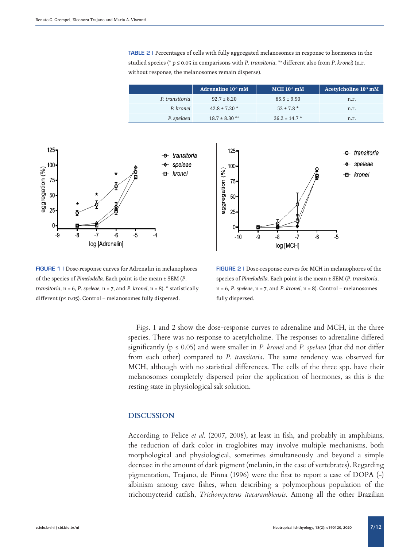TABLE 2 | Percentages of cells with fully aggregated melanosomes in response to hormones in the studied species (\* p ≤ 0.05 in comparisons with *P. transitoria*, \*a different also from *P. kronei*) (n.r. without response, the melanosomes remain disperse).

|                | Adrenaline 10 <sup>-5</sup> mM | $MCH 10-6 mM$     | Acetylcholine 10 <sup>-5</sup> mM |
|----------------|--------------------------------|-------------------|-----------------------------------|
| P. transitoria | $92.7 \pm 8.20$                | $85.5 \pm 9.90$   | n.r.                              |
| P. kronei      | $42.8 \pm 7.20$ *              | $52 + 7.8$ *      | n.r.                              |
| P. spelaea     | $18.7 \pm 8.30$ *a             | $36.2 \pm 14.7$ * | n.r.                              |



FIGURE 1 | Dose-response curves for Adrenalin in melanophores of the species of *Pimelodella*. Each point is the mean ± SEM (*P. transitoria*, n = 6, *P. speleae*, n = 7, and *P. kronei*, n = 8). \* statistically different (p≤ 0.05). Control – melanosomes fully dispersed.



FIGURE 2 | Dose-response curves for MCH in melanophores of the species of *Pimelodella*. Each point is the mean ± SEM (*P. transitoria*, n = 6, *P. speleae*, n = 7, and *P. kronei*, n = 8). Control – melanosomes fully dispersed.

Figs. 1 and 2 show the dose-response curves to adrenaline and MCH, in the three species. There was no response to acetylcholine. The responses to adrenaline differed significantly ( $p \le 0.05$ ) and were smaller in *P. kronei* and *P. spelaea* (that did not differ from each other) compared to *P. transitoria*. The same tendency was observed for MCH, although with no statistical differences. The cells of the three spp. have their melanosomes completely dispersed prior the application of hormones, as this is the resting state in physiological salt solution.

#### **DISCUSSION**

According to Felice *et al*. (2007, 2008), at least in fish, and probably in amphibians, the reduction of dark color in troglobites may involve multiple mechanisms, both morphological and physiological, sometimes simultaneously and beyond a simple decrease in the amount of dark pigment (melanin, in the case of vertebrates). Regarding pigmentation, Trajano, de Pinna (1996) were the first to report a case of DOPA (-) albinism among cave fishes, when describing a polymorphous population of the trichomycterid catfish, *Trichomycterus itacarambiensis*. Among all the other Brazilian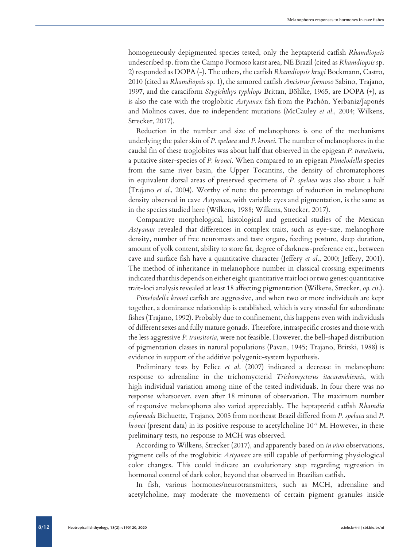homogeneously depigmented species tested, only the heptapterid catfish *Rhamdiopsis* undescribed sp. from the Campo Formoso karst area, NE Brazil (cited as *Rhamdiopsis* sp. 2) responded as DOPA (-). The others, the catfish *Rhamdiopsis krugi* Bockmann, Castro, 2010 (cited as *Rhamdiopsis* sp. 1), the armored catfish *Ancistrus formoso* Sabino, Trajano, 1997, and the caraciform *Stygichthys typhlops* Brittan, Böhlke, 1965, are DOPA (+), as is also the case with the troglobitic *Astyanax* fish from the Pachón, Yerbaniz/Japonés and Molinos caves, due to independent mutations (McCauley *et al*., 2004; Wilkens, Strecker, 2017).

Reduction in the number and size of melanophores is one of the mechanisms underlying the paler skin of *P. spelaea* and *P. kronei*. The number of melanophores in the caudal fin of these troglobites was about half that observed in the epigean *P. transitoria*, a putative sister-species of *P. kronei*. When compared to an epigean *Pimelodella* species from the same river basin, the Upper Tocantins, the density of chromatophores in equivalent dorsal areas of preserved specimens of *P. spelaea* was also about a half (Trajano *et al.*, 2004). Worthy of note: the percentage of reduction in melanophore density observed in cave *Astyanax*, with variable eyes and pigmentation, is the same as in the species studied here (Wilkens, 1988; Wilkens, Strecker, 2017).

Comparative morphological, histological and genetical studies of the Mexican *Astyanax* revealed that differences in complex traits, such as eye-size, melanophore density, number of free neuromasts and taste organs, feeding posture, sleep duration, amount of yolk content, ability to store fat, degree of darkness-preference etc., between cave and surface fish have a quantitative character (Jeffery *et al*., 2000; Jeffery, 2001). The method of inheritance in melanophore number in classical crossing experiments indicated that this depends on either eight quantitative trait loci or two genes: quantitative trait-loci analysis revealed at least 18 affecting pigmentation (Wilkens, Strecker, *op. cit*.).

*Pimelodella kronei* catfish are aggressive, and when two or more individuals are kept together, a dominance relationship is established, which is very stressful for subordinate fishes (Trajano, 1992). Probably due to confinement, this happens even with individuals of different sexes and fully mature gonads. Therefore, intraspecific crosses and those with the less aggressive *P. transitoria*, were not feasible. However, the bell-shaped distribution of pigmentation classes in natural populations (Pavan, 1945; Trajano, Britski, 1988) is evidence in support of the additive polygenic-system hypothesis.

Preliminary tests by Felice *et al*. (2007) indicated a decrease in melanophore response to adrenaline in the trichomycterid *Trichomycterus itacarambiensis*, with high individual variation among nine of the tested individuals. In four there was no response whatsoever, even after 18 minutes of observation. The maximum number of responsive melanophores also varied appreciably. The heptapterid catfish *Rhamdia enfurnada* Bichuette, Trajano, 2005 from northeast Brazil differed from *P. spelaea* and *P. kronei* (present data) in its positive response to acetylcholine 10<sup>-7</sup> M. However, in these preliminary tests, no response to MCH was observed.

According to Wilkens, Strecker (2017), and apparently based on *in vivo* observations, pigment cells of the troglobitic *Astyanax* are still capable of performing physiological color changes. This could indicate an evolutionary step regarding regression in hormonal control of dark color, beyond that observed in Brazilian catfish.

In fish, various hormones/neurotransmitters, such as MCH, adrenaline and acetylcholine, may moderate the movements of certain pigment granules inside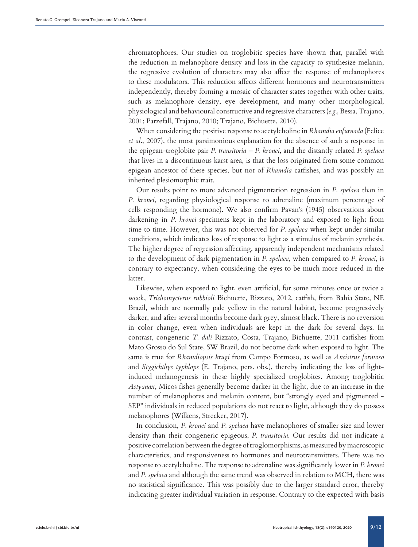chromatophores. Our studies on troglobitic species have shown that, parallel with the reduction in melanophore density and loss in the capacity to synthesize melanin, the regressive evolution of characters may also affect the response of melanophores to these modulators. This reduction affects different hormones and neurotransmitters independently, thereby forming a mosaic of character states together with other traits, such as melanophore density, eye development, and many other morphological, physiological and behavioural constructive and regressive characters (*e.g.*, Bessa, Trajano, 2001; Parzefall, Trajano, 2010; Trajano, Bichuette, 2010).

When considering the positive response to acetylcholine in *Rhamdia enfurnada* (Felice *et al*., 2007), the most parsimonious explanation for the absence of such a response in the epigean-troglobite pair *P. transitoria – P. kronei*, and the distantly related *P. spelaea* that lives in a discontinuous karst area, is that the loss originated from some common epigean ancestor of these species, but not of *Rhamdia* catfishes, and was possibly an inherited plesiomorphic trait.

Our results point to more advanced pigmentation regression in *P. spelaea* than in *P. kronei*, regarding physiological response to adrenaline (maximum percentage of cells responding the hormone). We also confirm Pavan's (1945) observations about darkening in *P. kronei* specimens kept in the laboratory and exposed to light from time to time. However, this was not observed for *P. spelaea* when kept under similar conditions, which indicates loss of response to light as a stimulus of melanin synthesis. The higher degree of regression affecting, apparently independent mechanisms related to the development of dark pigmentation in *P. spelaea*, when compared to *P. kronei*, is contrary to expectancy, when considering the eyes to be much more reduced in the latter.

Likewise, when exposed to light, even artificial, for some minutes once or twice a week, *Trichomycterus rubbioli* Bichuette, Rizzato, 2012, catfish, from Bahia State, NE Brazil, which are normally pale yellow in the natural habitat, become progressively darker, and after several months become dark grey, almost black. There is no reversion in color change, even when individuals are kept in the dark for several days. In contrast, congeneric *T. dali* Rizzato, Costa, Trajano, Bichuette, 2011 catfishes from Mato Grosso do Sul State, SW Brazil, do not become dark when exposed to light. The same is true for *Rhamdiopsis krugi* from Campo Formoso, as well as *Ancistrus formoso* and *Stygichthys typhlops* (E. Trajano, pers. obs.), thereby indicating the loss of lightinduced melanogenesis in these highly specialized troglobites. Among troglobitic *Astyanax*, Micos fishes generally become darker in the light, due to an increase in the number of melanophores and melanin content, but "strongly eyed and pigmented - SEP" individuals in reduced populations do not react to light, although they do possess melanophores (Wilkens, Strecker, 2017).

In conclusion, *P. kronei* and *P. spelaea* have melanophores of smaller size and lower density than their congeneric epigeous, *P. transitoria*. Our results did not indicate a positive correlation between the degree of troglomorphisms, as measured by macroscopic characteristics, and responsiveness to hormones and neurotransmitters. There was no response to acetylcholine. The response to adrenaline was significantly lower in *P. kronei*  and *P. spelaea* and although the same trend was observed in relation to MCH, there was no statistical significance. This was possibly due to the larger standard error, thereby indicating greater individual variation in response. Contrary to the expected with basis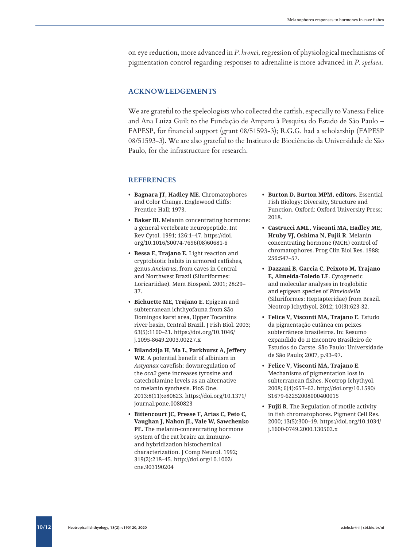on eye reduction, more advanced in *P. kronei*, regression of physiological mechanisms of pigmentation control regarding responses to adrenaline is more advanced in *P. spelaea*.

## **ACKNOWLEDGEMENTS**

We are grateful to the speleologists who collected the catfish, especially to Vanessa Felice and Ana Luiza Guil; to the Fundação de Amparo à Pesquisa do Estado de São Paulo – FAPESP, for financial support (grant 08/51593-3); R.G.G. had a scholarship (FAPESP 08/51593-3). We are also grateful to the Instituto de Biociências da Universidade de São Paulo, for the infrastructure for research.

### **REFERENCES**

- **• Bagnara JT, Hadley ME**. Chromatophores and Color Change. Englewood Cliffs: Prentice Hall; 1973.
- **• Baker BI**. Melanin concentrating hormone: a general vertebrate neuropeptide. Int Rev Cytol. 1991; 126:1–47. [https://doi.](https://doi.org/10.1016/S0074-7696(08)60681-6) [org/10.1016/S0074-7696\(08\)60681-6](https://doi.org/10.1016/S0074-7696(08)60681-6)
- **• Bessa E, Trajano E**. Light reaction and cryptobiotic habits in armored catfishes, genus *Ancistrus*, from caves in Central and Northwest Brazil (Siluriformes: Loricariidae). Mem Biospeol. 2001; 28:29– 37.
- **• Bichuette ME, Trajano E**. Epigean and subterranean ichthyofauna from São Domingos karst area, Upper Tocantins river basin, Central Brazil. J Fish Biol. 2003; 63(5):1100–21. [https://doi.org/10.1046/](https://doi.org/10.1046/j.1095-8649.2003.00227.x) [j.1095-8649.2003.00227.x](https://doi.org/10.1046/j.1095-8649.2003.00227.x)
- **• Bilandzija H, Ma L, Parkhurst A, Jeffery WR**. A potential benefit of albinism in *Astyanax* cavefish: downregulation of the *oca2* gene increases tyrosine and catecholamine levels as an alternative to melanin synthesis. PloS One. 2013:8(11):e80823. [https://doi.org/10.1371/](https://doi.org/10.1371/journal.pone.0080823) [journal.pone.0080823](https://doi.org/10.1371/journal.pone.0080823)
- **• Bittencourt JC, Presse F, Arias C, Peto C, Vaughan J, Nahon JL, Vale W, Sawchenko PE.** The melanin-concentrating hormone system of the rat brain: an immunoand hybridization histochemical characterization. J Comp Neurol. 1992; 319(2):218–45. http://doi.org/[10.1002/](http://doi.org/10.1002/cne.903190204) [cne.903190204](http://doi.org/10.1002/cne.903190204)
- **• Burton D, Burton MPM, editors**. Essential Fish Biology: Diversity, Structure and Function. Oxford: Oxford University Press; 2018.
- **• Castrucci AML, Visconti MA, Hadley ME, Hruby VJ, Oshima N, Fujii R**. Melanin concentrating hormone (MCH) control of chromatophores. Prog Clin Biol Res. 1988; 256:547–57.
- **• Dazzani B, Garcia C, Peixoto M, Trajano E, Almeida-Toledo LF**. Cytogenetic and molecular analyses in troglobitic and epigean species of *Pimelodella* (Siluriformes: Heptapteridae) from Brazil. Neotrop Ichythyol. 2012; 10(3):623-32.
- **• Felice V, Visconti MA, Trajano E**. Estudo da pigmentação cutânea em peixes subterrâneos brasileiros. In: Resumo expandido do II Encontro Brasileiro de Estudos do Carste. São Paulo: Universidade de São Paulo; 2007, p.93–97.
- **• Felice V, Visconti MA, Trajano E**. Mechanisms of pigmentation loss in subterranean fishes. Neotrop Ichythyol. 2008; 6(4):657–62. [http://doi.org/10.1590/](http://doi.org/10.1590/S1679-62252008000400015) [S1679-62252008000400015](http://doi.org/10.1590/S1679-62252008000400015)
- **• Fujii R**. The Regulation of motile activity in fish chromatophores. Pigment Cell Res. 2000; 13(5):300–19. [https://doi.org/10.1034/](https://doi.org/10.1034/j.1600-0749.2000.130502.x) [j.1600-0749.2000.130502.x](https://doi.org/10.1034/j.1600-0749.2000.130502.x)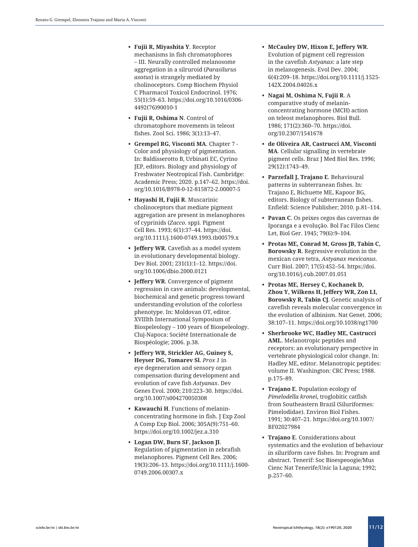- mechanisms in fish chromatophores – III. Neurally controlled melanosome aggregation in a silruroid (*Parasilurus asotus*) is strangely mediated by cholinoceptors. Comp Biochem Physiol C Pharmacol Toxicol Endocrinol. 1976; 55(1):59–63. [https://doi.org/10.1016/0306-](https://doi.org/10.1016/0306-4492(76)90010-1) [4492\(76\)90010-1](https://doi.org/10.1016/0306-4492(76)90010-1)
- **• Fujii R, Oshima N**. Control of chromatophore movements in teleost fishes. Zool Sci. 1986; 3(1):13–47 .
- **• Grempel RG, Visconti MA**. Chapter 7 Color and physiology of pigmentation. In: Baldisserotto B, Urbinati EC, Cyrino JEP, editors. Biology and physiology of Freshwater Neotropical Fish. Cambridge: Academic Press; 2020. p .147–62. [https://doi](https://doi.org/10.1016/B978-0-12-815872-2.00007-5) . org /10.1016 [/B978-0-12-815872-2.00007-5](https://doi.org/10.1016/B978-0-12-815872-2.00007-5)
- **• Hayashi H, Fujii R**. Muscarinic cholinoceptors that mediate pigment aggregation are present in melanophores of cyprinids (*Zacco.* spp )*.* Pigment Cell Res. 1993; 6(1):37–44. [https://doi](https://doi.org/10.1111/j.1600-0749.1993.tb00579.x). org /10.1111 /j [.1600-0749.1993](https://doi.org/10.1111/j.1600-0749.1993.tb00579.x) .tb00579 . x
- **• Jeffery WR**. Cavefish as a model system in evolutionary developmental biology. Dev Biol. 2001; 231(1):1–12. [https://doi](https://doi.org/10.1006/dbio.2000.0121) . org /10.1006 /dbio [.2000.0121](https://doi.org/10.1006/dbio.2000.0121)
- **r Explaining the Contenting Contenting Contenting Contenting Contenting To the Contenting Contenting Ichthyology 18(2): e192)**  $\frac{1}{2}$  **<b>Fugino 2** *Contenting Contenting Contenting To the Contenting Contenting Conten* **• Jeffery WR**. Convergence of pigment regression in cave animals: developmental, biochemical and genetic progress toward understanding evolution of the colorless phenotype. In : Moldovan OT, editor. XVIIIth International Symposium of Biospeleology – 100 years of Biospeleology. Cluj -Napoca: Société Internationale de Biospéologie; 2006. p .38 .
	- **• Jeffery WR, Strickler AG, Guiney S, Heyser DG, Tomarev Sl**. *Prox 1* in eye degeneration and sensory organ compensation during development and evolution of cave fish *Astyanax*. Dev Genes Evol. 2000; 210:223–30. [https://doi](https://doi.org/10.1007/s004270050308) . org /10.1007 [/s004270050308](https://doi.org/10.1007/s004270050308)
	- **• Kawauchi H**. Functions of melanin concentrating hormone in fish. J Exp Zool A Comp Exp Biol. 2006; 305A ( 9):751–60. [https://doi](https://doi.org/10.1002/jez.a.310) .org /10.1002 /jez . a .310
	- **• Logan DW, Burn SF, Jackson JI**. Regulation of pigmentation in zebrafish melanophores. Pigment Cell Res. 2006; 19(3):206–13. [https://doi](https://doi.org/10.1111/j.1600-0749.2006.00307.x) .org /10.1111 /j .1600- [0749.2006.00307](https://doi.org/10.1111/j.1600-0749.2006.00307.x) . x
- **• McCauley DW, Hixon E, Jeffery WR**. Evolution of pigment cell regression in the cavefish *Astyanax*: a late step in melanogenesis. Evol Dev. 2004; 6(4):209–18. [https://doi](https://doi.org/10.1111/j.1525-142X.2004.04026.x) .org /10.1111 /j .1525- 142X [.2004.04026](https://doi.org/10.1111/j.1525-142X.2004.04026.x) . x
- **• Nagai M, Oshima N, Fujii R**. A comparative study of melanin concentrating hormone (MCH) action on teleost melanophores. Biol Bull. 1986; 171(2):360–70. [https://doi](https://doi.org/10.2307/1541678) . org [/10.2307/1541678](https://doi.org/10.2307/1541678)
- **• de Oliveira AR, Castrucci AM, Visconti MA**. Cellular signalling in vertebrate pigment cells. Braz J Med Biol Res. 1996; 29(12):1743–49 .
- **• Parzefall J, Trajano E**. Behavioural patterns in subterranean fishes. In : Trajano E, Bichuette ME, Kapoor BG, editors. Biology of subterranean fishes. Enfield: Science Publisher; 2010. p .81–114 .
- **• Pavan C**. Os peixes cegos das cavernas de Iporanga e a evolução . Bol Fac Filos Cienc Let, Biol Ger. 1945; 79(6):9–104 .
- **• Protas ME, Conrad M, Gross JB, Tabin C, Borowsky R**. Regressive evolution in the mexican cave tetra, *Astyanax mexicanus*. Curr Biol. 2007; 17(5):452–54. [https://doi](https://doi.org/10.1016/j.cub.2007.01.051) . org /10.1016 /j .cub [.2007.01.051](https://doi.org/10.1016/j.cub.2007.01.051)
- **• Protas ME, Hersey C, Kochanek D, Zhou Y, Wilkens H, Jeffery WR, Zon LI, Borowsky R, Tabin CJ**. Genetic analysis of cavefish reveals molecular convergence in the evolution of albinism. Nat Genet. 2006; 38:107–11. [https://doi](https://doi.org/10.1038/ng1700) .org /10.1038 /ng1700
- **• Sherbrooke WC, Hadley ME, Castrucci AML**. Melanotropic peptides and receptors: an evolutionary perspective in vertebrate physiological color change. In: Hadley ME, editor. Melanotropic peptides: volume II. Washington: CRC Press; 1988. p.175–89.
- **• Trajano E**. Population ecology of *Pimelodella kronei*, troglobitic catfish from Southeastern Brazil (Siluriformes: Pimelodidae). Environ Biol Fishes. 1991; 30:407–21. [https://doi](https://doi.org/10.1007/BF02027984) .org /10.1007 / [BF02027984](https://doi.org/10.1007/BF02027984)
- **• [Trajano](http://lattes.cnpq.br/7233848499648328) E** . Considerations about systematics and the evolution of behaviour in siluriform cave fishes. In: Program and abstract. Tenerif: Soc Bioespeoogie /Mus Cienc Nat Tenerife /Unic la Laguna; 1992; p .257–60 .